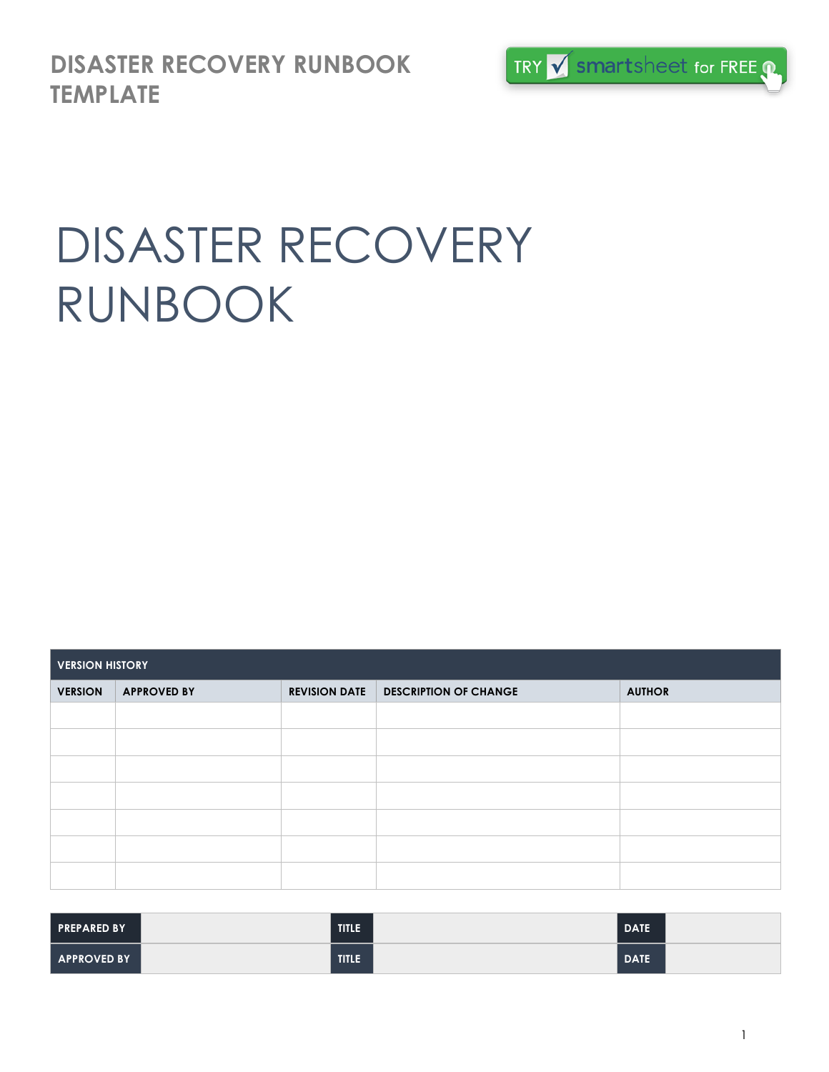**DISASTER RECOVERY RUNBOOK TEMPLATE**



# DISASTER RECOVERY RUNBOOK

| <b>VERSION HISTORY</b> |                    |                      |                              |               |  |  |
|------------------------|--------------------|----------------------|------------------------------|---------------|--|--|
| <b>VERSION</b>         | <b>APPROVED BY</b> | <b>REVISION DATE</b> | <b>DESCRIPTION OF CHANGE</b> | <b>AUTHOR</b> |  |  |
|                        |                    |                      |                              |               |  |  |
|                        |                    |                      |                              |               |  |  |
|                        |                    |                      |                              |               |  |  |
|                        |                    |                      |                              |               |  |  |
|                        |                    |                      |                              |               |  |  |
|                        |                    |                      |                              |               |  |  |
|                        |                    |                      |                              |               |  |  |

| <b>PREPARED BY</b> | TITLE        | <b>DATE</b> |  |
|--------------------|--------------|-------------|--|
| <b>APPROVED BY</b> | <b>TITLE</b> | <b>DATE</b> |  |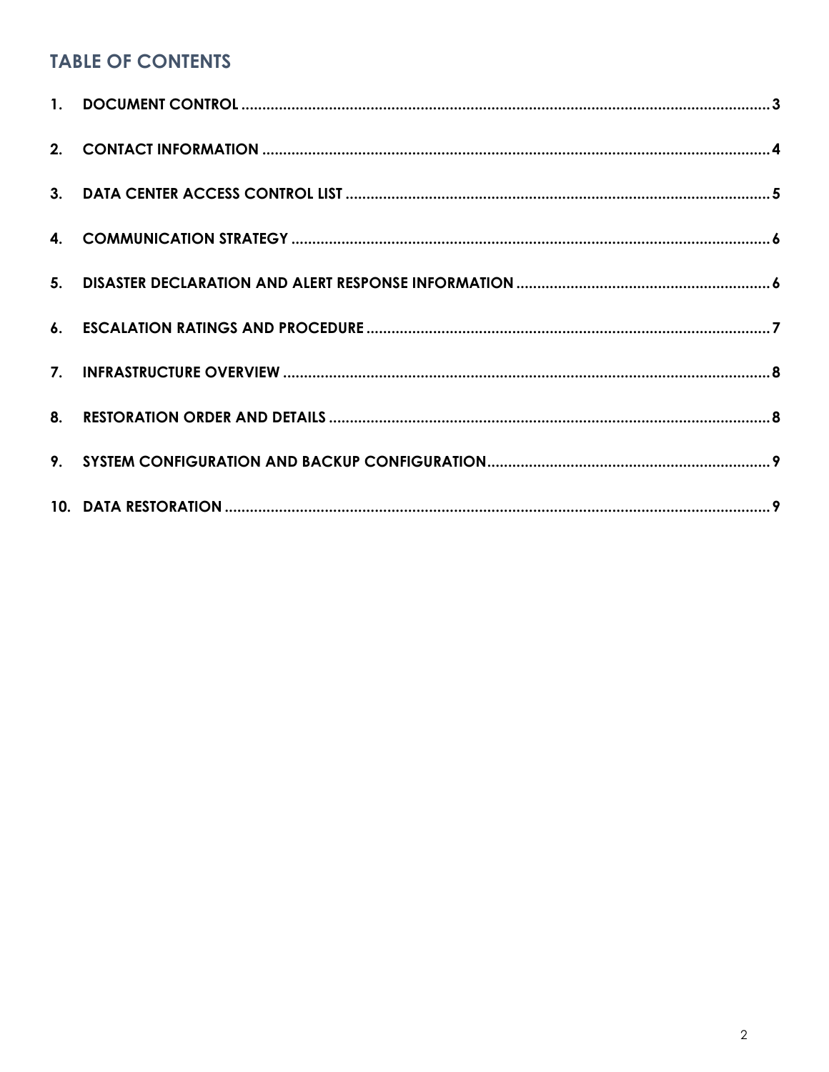#### **TABLE OF CONTENTS**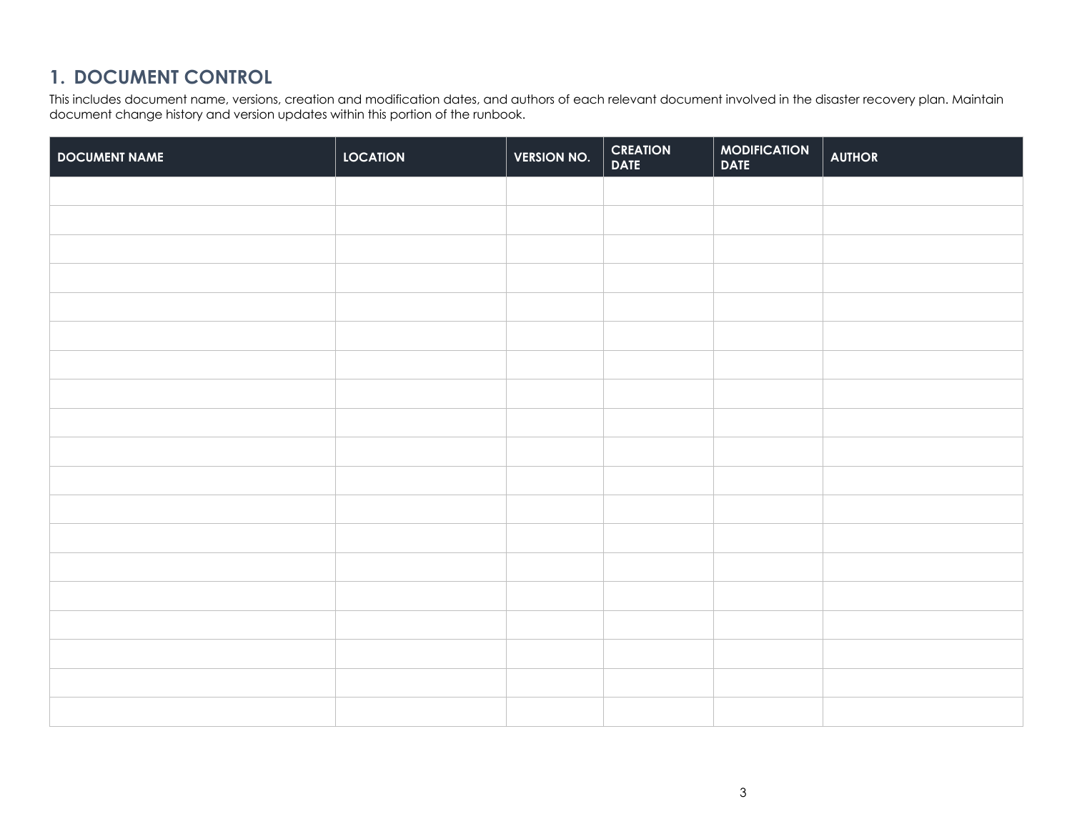#### **1. DOCUMENT CONTROL**

This includes document name, versions, creation and modification dates, and authors of each relevant document involved in the disaster recovery plan. Maintain document change history and version updates within this portion of the runbook.

| <b>DOCUMENT NAME</b> | <b>LOCATION</b> | <b>VERSION NO.</b> | <b>CREATION<br/>DATE</b> | MODIFICATION | <b>AUTHOR</b> |
|----------------------|-----------------|--------------------|--------------------------|--------------|---------------|
|                      |                 |                    |                          |              |               |
|                      |                 |                    |                          |              |               |
|                      |                 |                    |                          |              |               |
|                      |                 |                    |                          |              |               |
|                      |                 |                    |                          |              |               |
|                      |                 |                    |                          |              |               |
|                      |                 |                    |                          |              |               |
|                      |                 |                    |                          |              |               |
|                      |                 |                    |                          |              |               |
|                      |                 |                    |                          |              |               |
|                      |                 |                    |                          |              |               |
|                      |                 |                    |                          |              |               |
|                      |                 |                    |                          |              |               |
|                      |                 |                    |                          |              |               |
|                      |                 |                    |                          |              |               |
|                      |                 |                    |                          |              |               |
|                      |                 |                    |                          |              |               |
|                      |                 |                    |                          |              |               |
|                      |                 |                    |                          |              |               |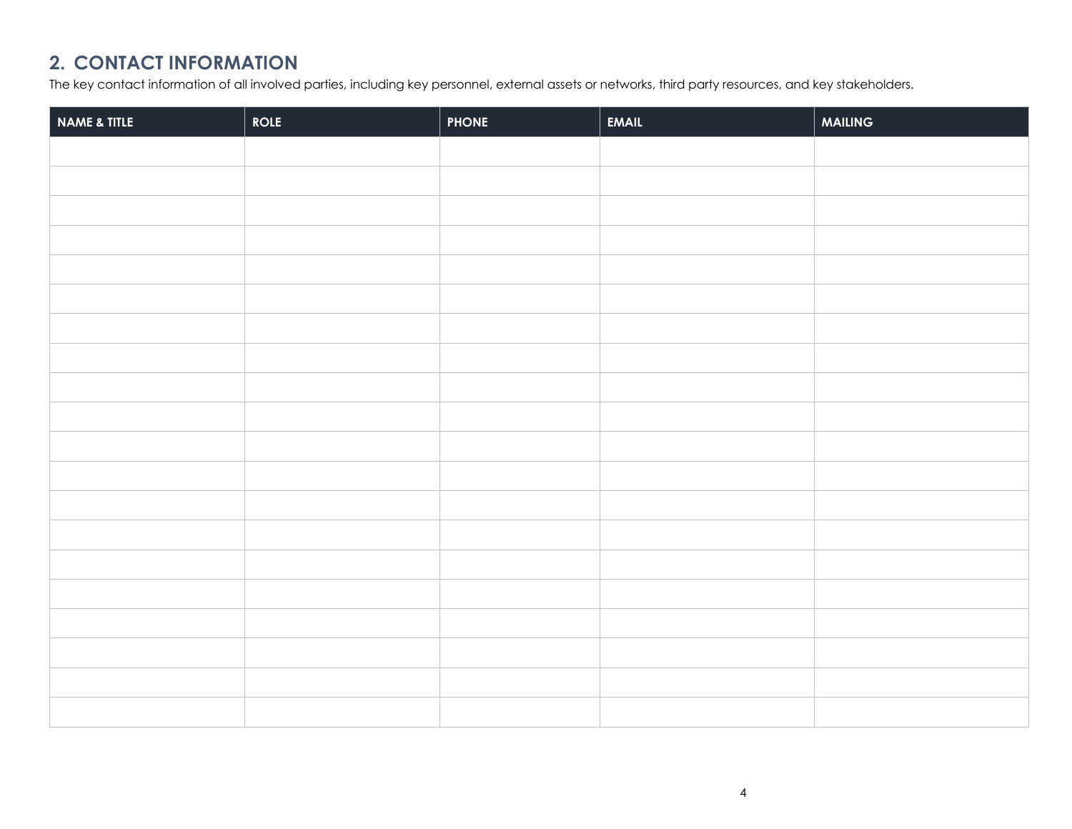## **2. CONTACT INFORMATION**

The key contact information of all involved parties, including key personnel, external assets or networks, third party resources, and key stakeholders.

| NAME & TITLE | <b>ROLE</b> | <b>PHONE</b> | EMAIL | MAILING |
|--------------|-------------|--------------|-------|---------|
|              |             |              |       |         |
|              |             |              |       |         |
|              |             |              |       |         |
|              |             |              |       |         |
|              |             |              |       |         |
|              |             |              |       |         |
|              |             |              |       |         |
|              |             |              |       |         |
|              |             |              |       |         |
|              |             |              |       |         |
|              |             |              |       |         |
|              |             |              |       |         |
|              |             |              |       |         |
|              |             |              |       |         |
|              |             |              |       |         |
|              |             |              |       |         |
|              |             |              |       |         |
|              |             |              |       |         |
|              |             |              |       |         |
|              |             |              |       |         |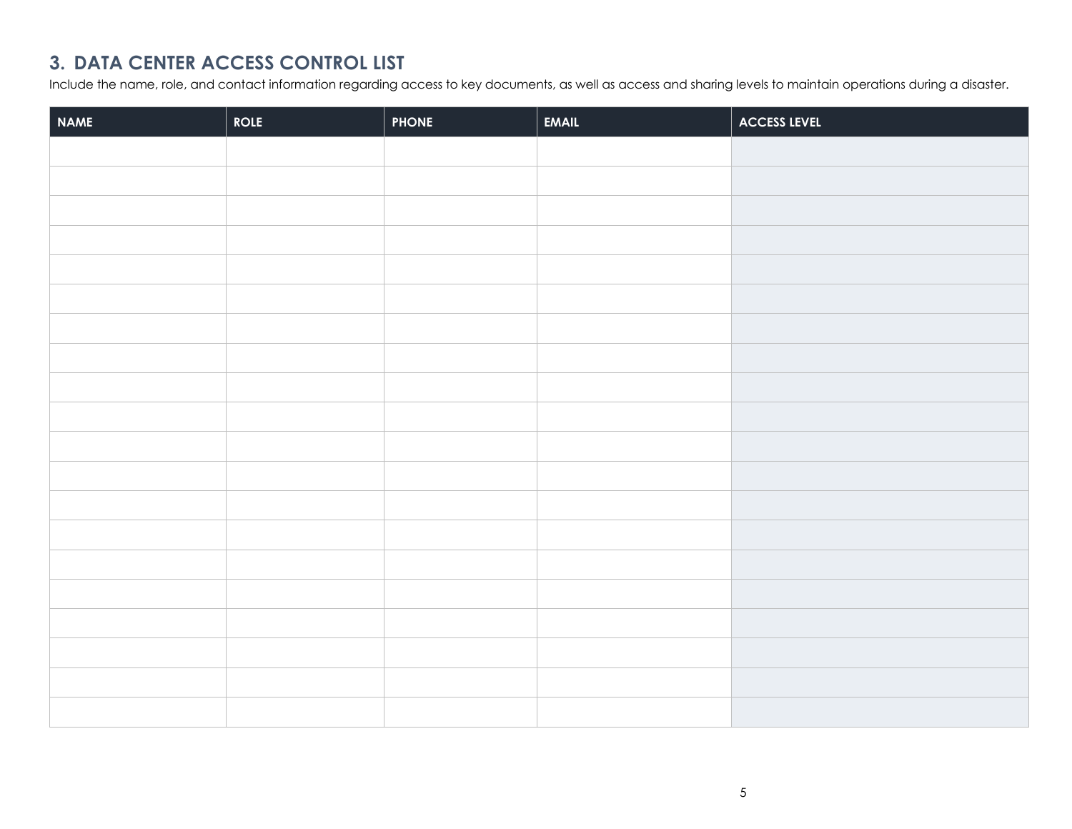#### **3. DATA CENTER ACCESS CONTROL LIST**

Include the name, role, and contact information regarding access to key documents, as well as access and sharing levels to maintain operations during a disaster.

| <b>NAME</b> | <b>ROLE</b> | <b>PHONE</b> | EMAIL | ACCESS LEVEL |
|-------------|-------------|--------------|-------|--------------|
|             |             |              |       |              |
|             |             |              |       |              |
|             |             |              |       |              |
|             |             |              |       |              |
|             |             |              |       |              |
|             |             |              |       |              |
|             |             |              |       |              |
|             |             |              |       |              |
|             |             |              |       |              |
|             |             |              |       |              |
|             |             |              |       |              |
|             |             |              |       |              |
|             |             |              |       |              |
|             |             |              |       |              |
|             |             |              |       |              |
|             |             |              |       |              |
|             |             |              |       |              |
|             |             |              |       |              |
|             |             |              |       |              |
|             |             |              |       |              |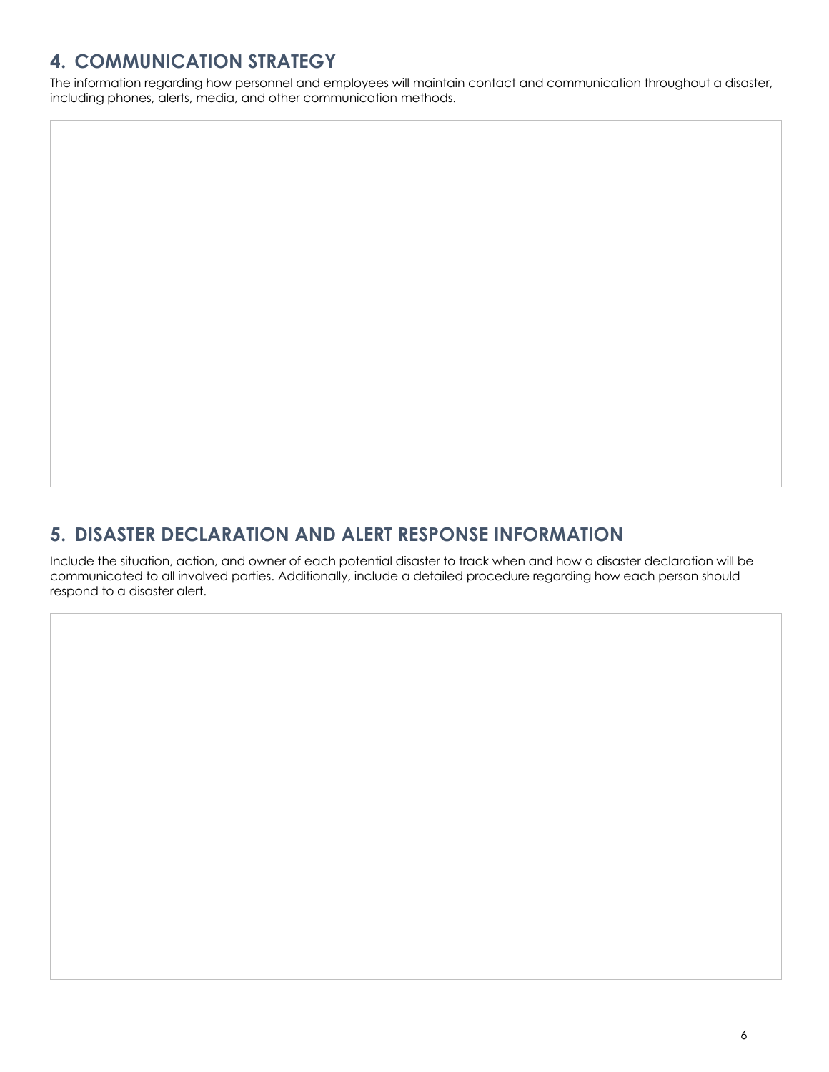# **4. COMMUNICATION STRATEGY**

The information regarding how personnel and employees will maintain contact and communication throughout a disaster, including phones, alerts, media, and other communication methods.

#### **5. DISASTER DECLARATION AND ALERT RESPONSE INFORMATION**

Include the situation, action, and owner of each potential disaster to track when and how a disaster declaration will be communicated to all involved parties. Additionally, include a detailed procedure regarding how each person should respond to a disaster alert.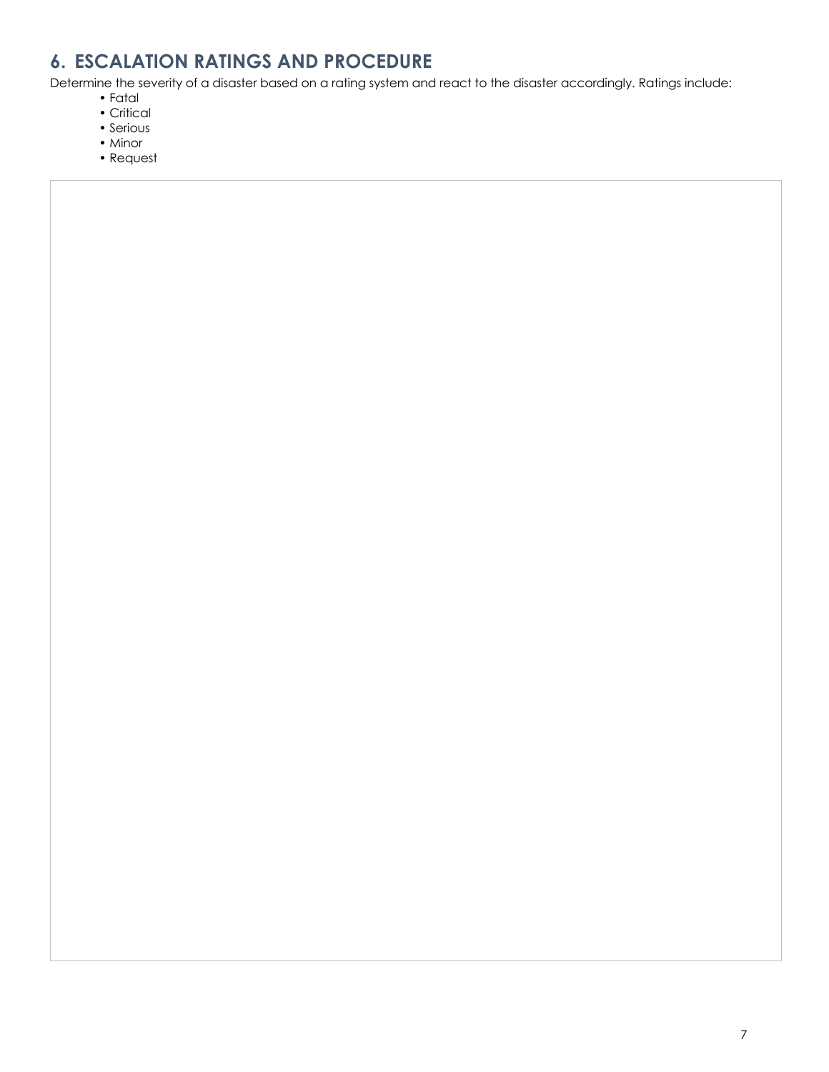# **6. ESCALATION RATINGS AND PROCEDURE**

Determine the severity of a disaster based on a rating system and react to the disaster accordingly. Ratings include:

- Fatal
- Critical
- Serious
- Minor
- Request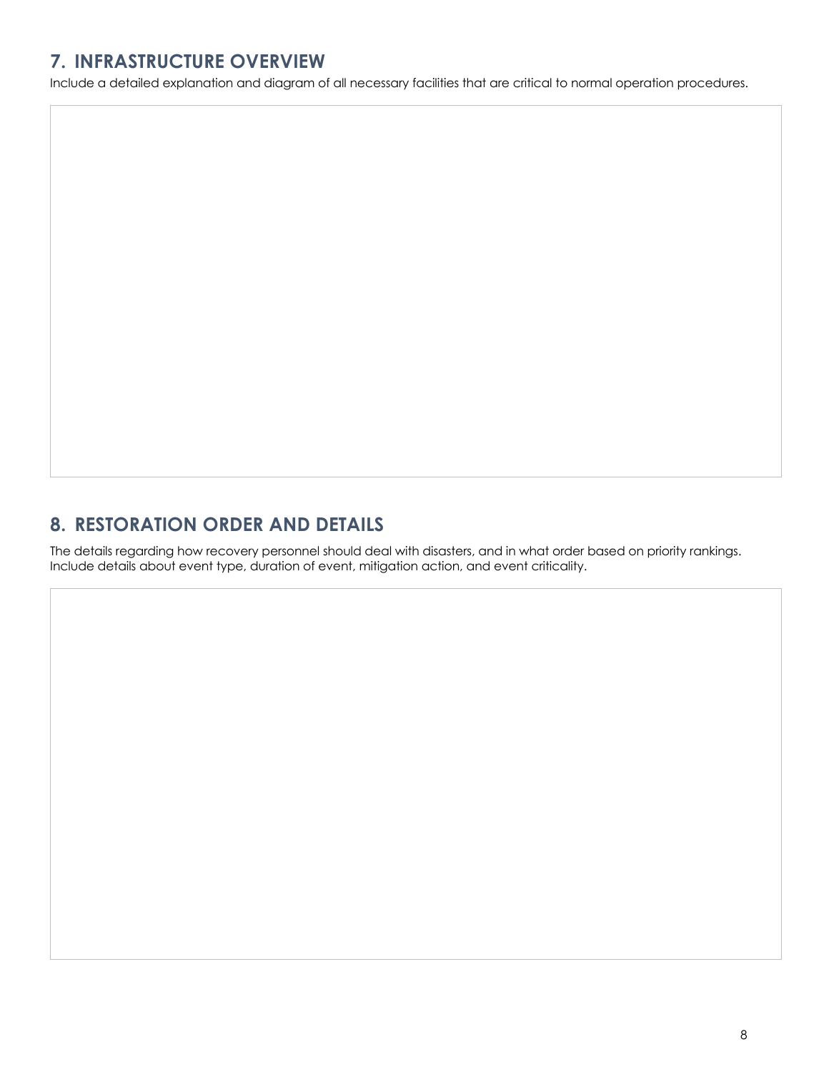## **7. INFRASTRUCTURE OVERVIEW**

Include a detailed explanation and diagram of all necessary facilities that are critical to normal operation procedures.

#### **8. RESTORATION ORDER AND DETAILS**

The details regarding how recovery personnel should deal with disasters, and in what order based on priority rankings. Include details about event type, duration of event, mitigation action, and event criticality.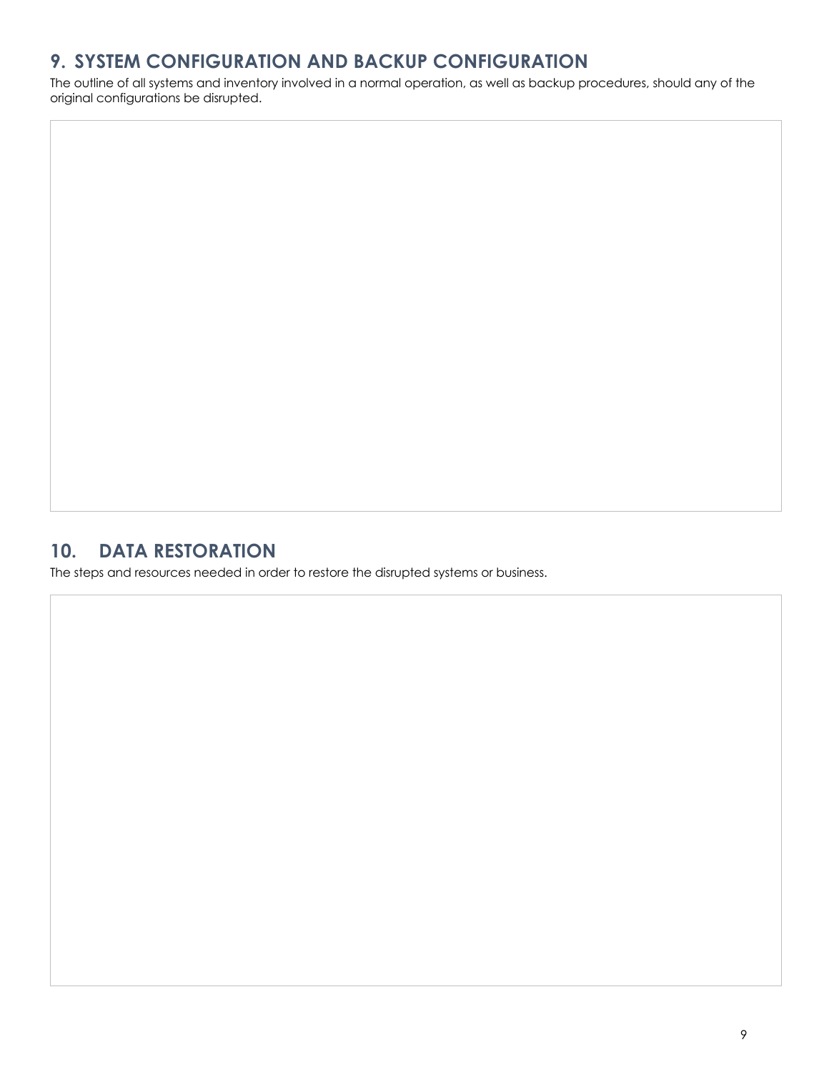# **9. SYSTEM CONFIGURATION AND BACKUP CONFIGURATION**

The outline of all systems and inventory involved in a normal operation, as well as backup procedures, should any of the original configurations be disrupted.

#### **10. DATA RESTORATION**

The steps and resources needed in order to restore the disrupted systems or business.